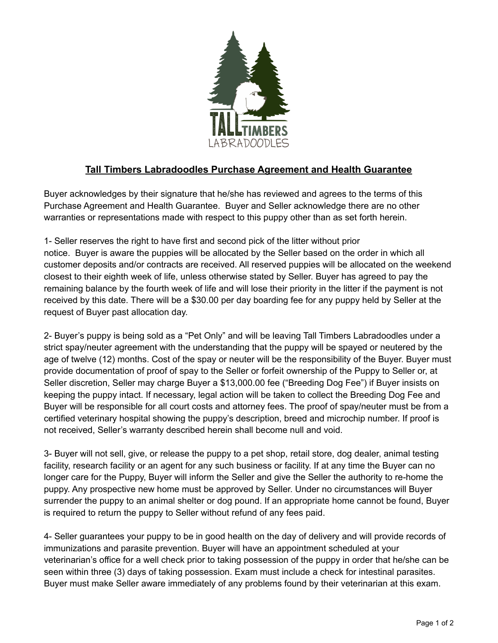

## **Tall Timbers Labradoodles Purchase Agreement and Health Guarantee**

Buyer acknowledges by their signature that he/she has reviewed and agrees to the terms of this Purchase Agreement and Health Guarantee. Buyer and Seller acknowledge there are no other warranties or representations made with respect to this puppy other than as set forth herein.

1- Seller reserves the right to have first and second pick of the litter without prior notice. Buyer is aware the puppies will be allocated by the Seller based on the order in which all customer deposits and/or contracts are received. All reserved puppies will be allocated on the weekend closest to their eighth week of life, unless otherwise stated by Seller. Buyer has agreed to pay the remaining balance by the fourth week of life and will lose their priority in the litter if the payment is not received by this date. There will be a \$30.00 per day boarding fee for any puppy held by Seller at the request of Buyer past allocation day.

2- Buyer's puppy is being sold as a "Pet Only" and will be leaving Tall Timbers Labradoodles under a strict spay/neuter agreement with the understanding that the puppy will be spayed or neutered by the age of twelve (12) months. Cost of the spay or neuter will be the responsibility of the Buyer. Buyer must provide documentation of proof of spay to the Seller or forfeit ownership of the Puppy to Seller or, at Seller discretion, Seller may charge Buyer a \$13,000.00 fee ("Breeding Dog Fee") if Buyer insists on keeping the puppy intact. If necessary, legal action will be taken to collect the Breeding Dog Fee and Buyer will be responsible for all court costs and attorney fees. The proof of spay/neuter must be from a certified veterinary hospital showing the puppy's description, breed and microchip number. If proof is not received, Seller's warranty described herein shall become null and void.

3- Buyer will not sell, give, or release the puppy to a pet shop, retail store, dog dealer, animal testing facility, research facility or an agent for any such business or facility. If at any time the Buyer can no longer care for the Puppy, Buyer will inform the Seller and give the Seller the authority to re-home the puppy. Any prospective new home must be approved by Seller. Under no circumstances will Buyer surrender the puppy to an animal shelter or dog pound. If an appropriate home cannot be found, Buyer is required to return the puppy to Seller without refund of any fees paid.

4- Seller guarantees your puppy to be in good health on the day of delivery and will provide records of immunizations and parasite prevention. Buyer will have an appointment scheduled at your veterinarian's office for a well check prior to taking possession of the puppy in order that he/she can be seen within three (3) days of taking possession. Exam must include a check for intestinal parasites. Buyer must make Seller aware immediately of any problems found by their veterinarian at this exam.